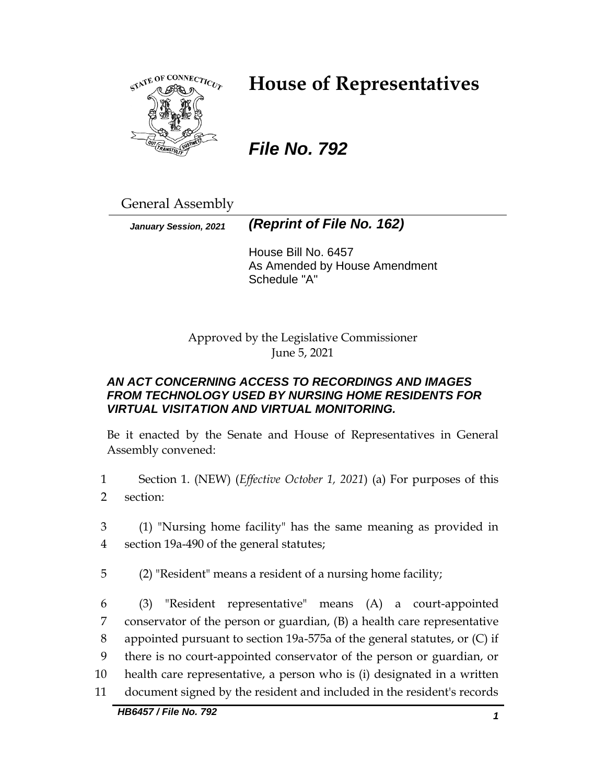

# **House of Representatives**

*File No. 792*

General Assembly

*January Session, 2021 (Reprint of File No. 162)*

House Bill No. 6457 As Amended by House Amendment Schedule "A"

Approved by the Legislative Commissioner June 5, 2021

# *AN ACT CONCERNING ACCESS TO RECORDINGS AND IMAGES FROM TECHNOLOGY USED BY NURSING HOME RESIDENTS FOR VIRTUAL VISITATION AND VIRTUAL MONITORING.*

Be it enacted by the Senate and House of Representatives in General Assembly convened:

- 1 Section 1. (NEW) (*Effective October 1, 2021*) (a) For purposes of this 2 section:
- 3 (1) "Nursing home facility" has the same meaning as provided in 4 section 19a-490 of the general statutes;
- 5 (2) "Resident" means a resident of a nursing home facility;
- 6 (3) "Resident representative" means (A) a court-appointed 7 conservator of the person or guardian, (B) a health care representative 8 appointed pursuant to section 19a-575a of the general statutes, or (C) if 9 there is no court-appointed conservator of the person or guardian, or 10 health care representative, a person who is (i) designated in a written 11 document signed by the resident and included in the resident's records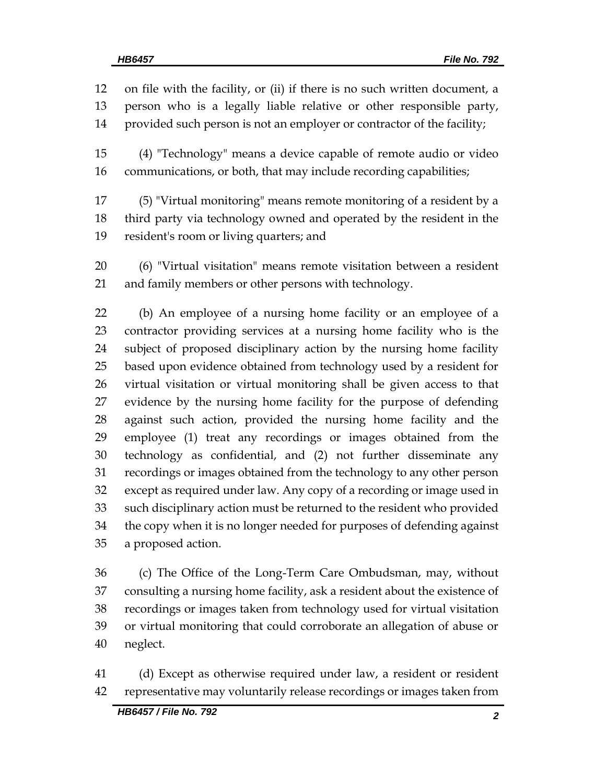on file with the facility, or (ii) if there is no such written document, a person who is a legally liable relative or other responsible party, provided such person is not an employer or contractor of the facility;

 (4) "Technology" means a device capable of remote audio or video communications, or both, that may include recording capabilities;

 (5) "Virtual monitoring" means remote monitoring of a resident by a third party via technology owned and operated by the resident in the resident's room or living quarters; and

 (6) "Virtual visitation" means remote visitation between a resident and family members or other persons with technology.

 (b) An employee of a nursing home facility or an employee of a contractor providing services at a nursing home facility who is the subject of proposed disciplinary action by the nursing home facility based upon evidence obtained from technology used by a resident for virtual visitation or virtual monitoring shall be given access to that evidence by the nursing home facility for the purpose of defending against such action, provided the nursing home facility and the employee (1) treat any recordings or images obtained from the technology as confidential, and (2) not further disseminate any recordings or images obtained from the technology to any other person except as required under law. Any copy of a recording or image used in such disciplinary action must be returned to the resident who provided the copy when it is no longer needed for purposes of defending against a proposed action.

 (c) The Office of the Long-Term Care Ombudsman, may, without consulting a nursing home facility, ask a resident about the existence of recordings or images taken from technology used for virtual visitation or virtual monitoring that could corroborate an allegation of abuse or neglect.

 (d) Except as otherwise required under law, a resident or resident representative may voluntarily release recordings or images taken from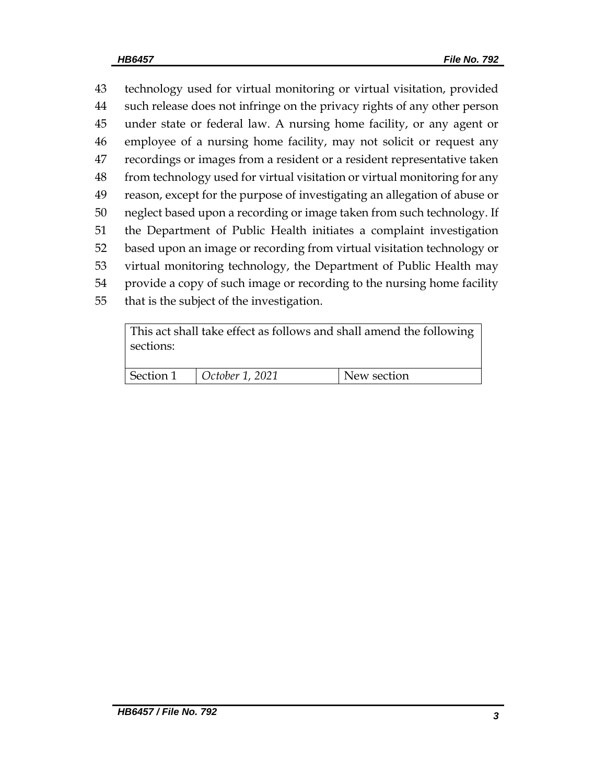technology used for virtual monitoring or virtual visitation, provided such release does not infringe on the privacy rights of any other person under state or federal law. A nursing home facility, or any agent or employee of a nursing home facility, may not solicit or request any recordings or images from a resident or a resident representative taken from technology used for virtual visitation or virtual monitoring for any reason, except for the purpose of investigating an allegation of abuse or neglect based upon a recording or image taken from such technology. If the Department of Public Health initiates a complaint investigation based upon an image or recording from virtual visitation technology or virtual monitoring technology, the Department of Public Health may provide a copy of such image or recording to the nursing home facility that is the subject of the investigation.

This act shall take effect as follows and shall amend the following sections: Section 1 *October 1, 2021* New section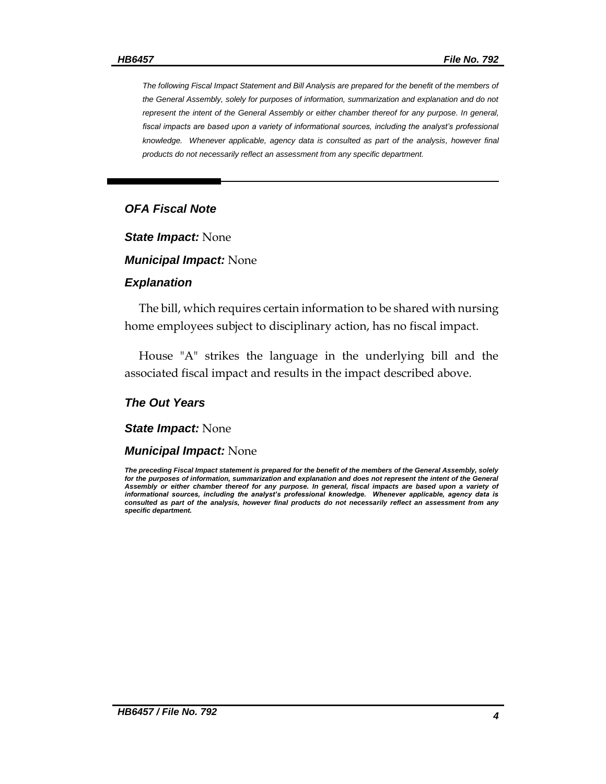*The following Fiscal Impact Statement and Bill Analysis are prepared for the benefit of the members of the General Assembly, solely for purposes of information, summarization and explanation and do not represent the intent of the General Assembly or either chamber thereof for any purpose. In general,*  fiscal impacts are based upon a variety of informational sources, including the analyst's professional *knowledge. Whenever applicable, agency data is consulted as part of the analysis, however final products do not necessarily reflect an assessment from any specific department.*

#### *OFA Fiscal Note*

*State Impact:* None

*Municipal Impact:* None

#### *Explanation*

The bill, which requires certain information to be shared with nursing home employees subject to disciplinary action, has no fiscal impact.

House "A" strikes the language in the underlying bill and the associated fiscal impact and results in the impact described above.

#### *The Out Years*

*State Impact:* None

#### *Municipal Impact:* None

*The preceding Fiscal Impact statement is prepared for the benefit of the members of the General Assembly, solely*  for the purposes of information, summarization and explanation and does not represent the intent of the General *Assembly or either chamber thereof for any purpose. In general, fiscal impacts are based upon a variety of informational sources, including the analyst's professional knowledge. Whenever applicable, agency data is consulted as part of the analysis, however final products do not necessarily reflect an assessment from any specific department.*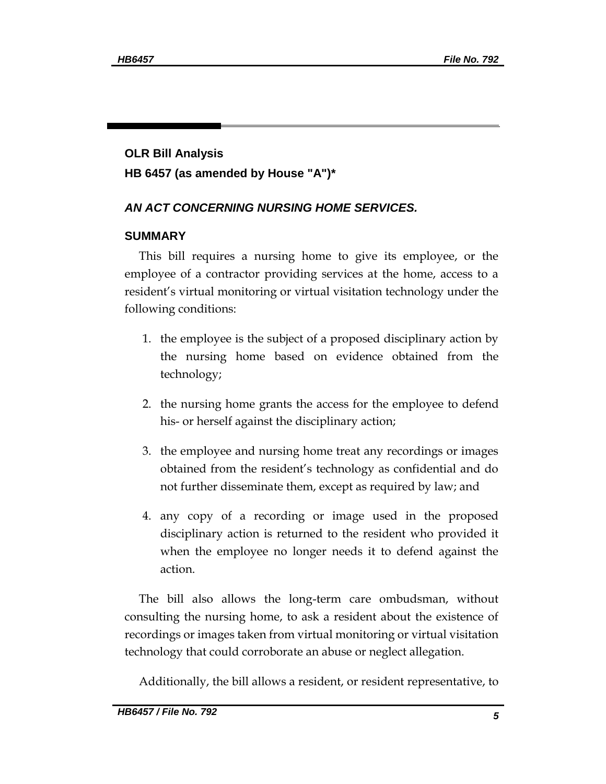# **OLR Bill Analysis HB 6457 (as amended by House "A")\***

# *AN ACT CONCERNING NURSING HOME SERVICES.*

## **SUMMARY**

This bill requires a nursing home to give its employee, or the employee of a contractor providing services at the home, access to a resident's virtual monitoring or virtual visitation technology under the following conditions:

- 1. the employee is the subject of a proposed disciplinary action by the nursing home based on evidence obtained from the technology;
- 2. the nursing home grants the access for the employee to defend his- or herself against the disciplinary action;
- 3. the employee and nursing home treat any recordings or images obtained from the resident's technology as confidential and do not further disseminate them, except as required by law; and
- 4. any copy of a recording or image used in the proposed disciplinary action is returned to the resident who provided it when the employee no longer needs it to defend against the action.

The bill also allows the long-term care ombudsman, without consulting the nursing home, to ask a resident about the existence of recordings or images taken from virtual monitoring or virtual visitation technology that could corroborate an abuse or neglect allegation.

Additionally, the bill allows a resident, or resident representative, to